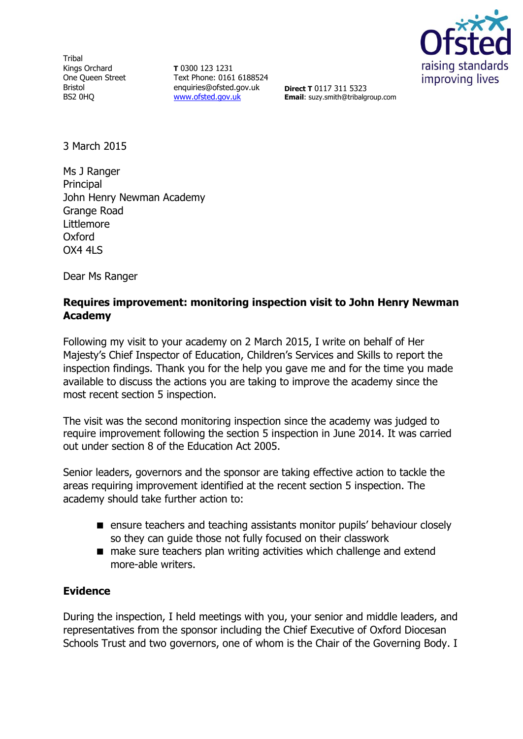**Tribal** Kings Orchard One Queen Street Bristol BS2 0HQ

**T** 0300 123 1231 Text Phone: 0161 6188524 enquiries@ofsted.gov.uk [www.ofsted.gov.uk](http://www.ofsted.gov.uk/)



**Direct T** 0117 311 5323 **Email**: suzy.smith@tribalgroup.com

3 March 2015

Ms J Ranger Principal John Henry Newman Academy Grange Road Littlemore Oxford OX4 4LS

Dear Ms Ranger

## **Requires improvement: monitoring inspection visit to John Henry Newman Academy**

Following my visit to your academy on 2 March 2015, I write on behalf of Her Majesty's Chief Inspector of Education, Children's Services and Skills to report the inspection findings. Thank you for the help you gave me and for the time you made available to discuss the actions you are taking to improve the academy since the most recent section 5 inspection.

The visit was the second monitoring inspection since the academy was judged to require improvement following the section 5 inspection in June 2014. It was carried out under section 8 of the Education Act 2005.

Senior leaders, governors and the sponsor are taking effective action to tackle the areas requiring improvement identified at the recent section 5 inspection. The academy should take further action to:

- **E** ensure teachers and teaching assistants monitor pupils' behaviour closely so they can guide those not fully focused on their classwork
- make sure teachers plan writing activities which challenge and extend more-able writers.

### **Evidence**

During the inspection, I held meetings with you, your senior and middle leaders, and representatives from the sponsor including the Chief Executive of Oxford Diocesan Schools Trust and two governors, one of whom is the Chair of the Governing Body. I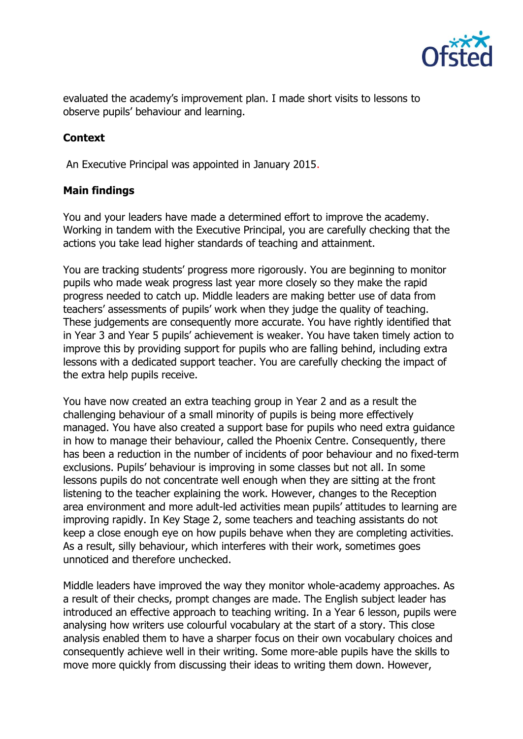

evaluated the academy's improvement plan. I made short visits to lessons to observe pupils' behaviour and learning.

# **Context**

An Executive Principal was appointed in January 2015.

## **Main findings**

You and your leaders have made a determined effort to improve the academy. Working in tandem with the Executive Principal, you are carefully checking that the actions you take lead higher standards of teaching and attainment.

You are tracking students' progress more rigorously. You are beginning to monitor pupils who made weak progress last year more closely so they make the rapid progress needed to catch up. Middle leaders are making better use of data from teachers' assessments of pupils' work when they judge the quality of teaching. These judgements are consequently more accurate. You have rightly identified that in Year 3 and Year 5 pupils' achievement is weaker. You have taken timely action to improve this by providing support for pupils who are falling behind, including extra lessons with a dedicated support teacher. You are carefully checking the impact of the extra help pupils receive.

You have now created an extra teaching group in Year 2 and as a result the challenging behaviour of a small minority of pupils is being more effectively managed. You have also created a support base for pupils who need extra guidance in how to manage their behaviour, called the Phoenix Centre. Consequently, there has been a reduction in the number of incidents of poor behaviour and no fixed-term exclusions. Pupils' behaviour is improving in some classes but not all. In some lessons pupils do not concentrate well enough when they are sitting at the front listening to the teacher explaining the work. However, changes to the Reception area environment and more adult-led activities mean pupils' attitudes to learning are improving rapidly. In Key Stage 2, some teachers and teaching assistants do not keep a close enough eye on how pupils behave when they are completing activities. As a result, silly behaviour, which interferes with their work, sometimes goes unnoticed and therefore unchecked.

Middle leaders have improved the way they monitor whole-academy approaches. As a result of their checks, prompt changes are made. The English subject leader has introduced an effective approach to teaching writing. In a Year 6 lesson, pupils were analysing how writers use colourful vocabulary at the start of a story. This close analysis enabled them to have a sharper focus on their own vocabulary choices and consequently achieve well in their writing. Some more-able pupils have the skills to move more quickly from discussing their ideas to writing them down. However,